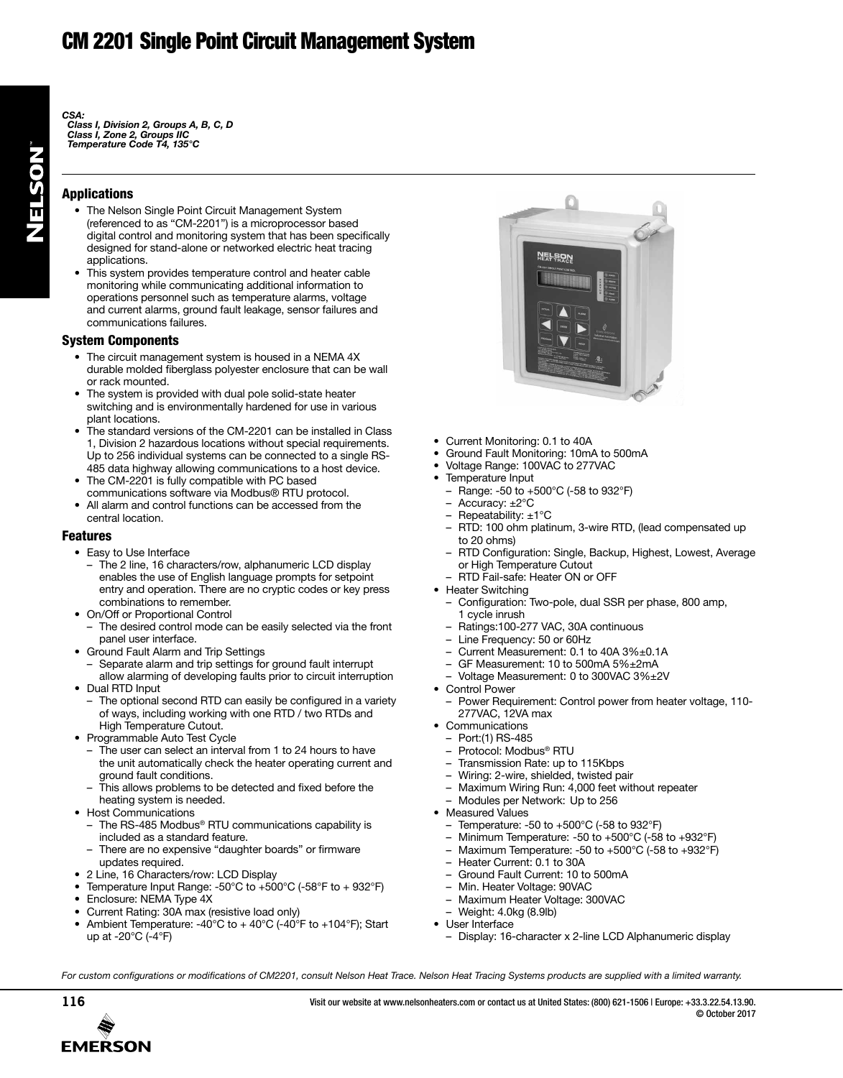# CM 2201 Single Point Circuit Management System

*CSA:*

*Class I, Division 2, Groups A, B, C, D Class I, Zone 2, Groups IIC Temperature Code T4, 135°C*

### Applications

- The Nelson Single Point Circuit Management System (referenced to as "CM-2201") is a microprocessor based digital control and monitoring system that has been specifically designed for stand-alone or networked electric heat tracing applications.
- This system provides temperature control and heater cable monitoring while communicating additional information to operations personnel such as temperature alarms, voltage and current alarms, ground fault leakage, sensor failures and communications failures.

### System Components

- The circuit management system is housed in a NEMA 4X durable molded fiberglass polyester enclosure that can be wall or rack mounted.
- The system is provided with dual pole solid-state heater switching and is environmentally hardened for use in various plant locations.
- The standard versions of the CM-2201 can be installed in Class 1, Division 2 hazardous locations without special requirements. Up to 256 individual systems can be connected to a single RS-485 data highway allowing communications to a host device.
- The CM-2201 is fully compatible with PC based communications software via Modbus® RTU protocol.
- All alarm and control functions can be accessed from the central location.

#### Features

- Easy to Use Interface
- The 2 line, 16 characters/row, alphanumeric LCD display enables the use of English language prompts for setpoint entry and operation. There are no cryptic codes or key press combinations to remember.
- On/Off or Proportional Control – The desired control mode can be easily selected via the front panel user interface.
- Ground Fault Alarm and Trip Settings
	- Separate alarm and trip settings for ground fault interrupt
- allow alarming of developing faults prior to circuit interruption • Dual RTD Input
- The optional second RTD can easily be configured in a variety of ways, including working with one RTD / two RTDs and High Temperature Cutout.
- Programmable Auto Test Cycle
	- The user can select an interval from 1 to 24 hours to have the unit automatically check the heater operating current and ground fault conditions.
	- This allows problems to be detected and fixed before the heating system is needed.
- Host Communications
	- The RS-485 Modbus<sup>®</sup> RTU communications capability is included as a standard feature.
	- There are no expensive "daughter boards" or firmware updates required.
- 2 Line, 16 Characters/row: LCD Display
- Temperature Input Range: -50°C to +500°C (-58°F to + 932°F)
- Enclosure: NEMA Type 4X
- Current Rating: 30A max (resistive load only)
- Ambient Temperature: -40°C to  $+$  40°C (-40°F to +104°F); Start up at -20°C (-4°F)



- Current Monitoring: 0.1 to 40A
- Ground Fault Monitoring: 10mA to 500mA
- Voltage Range: 100VAC to 277VAC
- Temperature Input
- Range: -50 to +500°C (-58 to 932°F)
	- Accuracy: ±2°C
	- Repeatability:  $\pm 1^{\circ}$ C
- RTD: 100 ohm platinum, 3-wire RTD, (lead compensated up to 20 ohms)
- RTD Configuration: Single, Backup, Highest, Lowest, Average or High Temperature Cutout
- RTD Fail-safe: Heater ON or OFF
- Heater Switching
	- Configuration: Two-pole, dual SSR per phase, 800 amp, 1 cycle inrush
	- Ratings:100-277 VAC, 30A continuous
	- Line Frequency: 50 or 60Hz
	- Current Measurement: 0.1 to 40A 3%±0.1A
	- GF Measurement: 10 to 500mA 5%±2mA
	- Voltage Measurement: 0 to 300VAC 3%±2V
- Control Power
	- Power Requirement: Control power from heater voltage, 110- 277VAC, 12VA max
- Communications
- Port:(1) RS-485
- Protocol: Modbus® RTU
- Transmission Rate: up to 115Kbps
- Wiring: 2-wire, shielded, twisted pair
- Maximum Wiring Run: 4,000 feet without repeater
- Modules per Network: Up to 256
- Measured Values
	- Temperature: -50 to +500°C (-58 to 932°F)
	- Minimum Temperature: -50 to +500°C (-58 to +932°F)
	- Maximum Temperature: -50 to +500°C (-58 to +932°F)
	- Heater Current: 0.1 to 30A
	- Ground Fault Current: 10 to 500mA
	- Min. Heater Voltage: 90VAC
	- Maximum Heater Voltage: 300VAC
	- Weight: 4.0kg (8.9lb)
- User Interface
	- Display: 16-character x 2-line LCD Alphanumeric display

For custom configurations or modifications of CM2201, consult Nelson Heat Trace. Nelson Heat Tracing Systems products are supplied with a limited warranty.